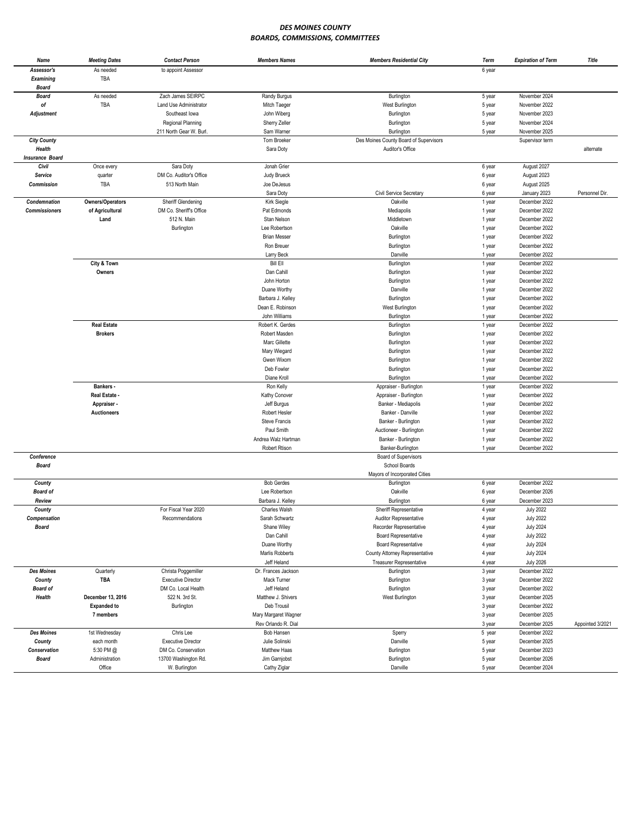## *DES MOINES COUNTY BOARDS, COMMISSIONS, COMMITTEES*

| As needed<br>Assessor's<br>to appoint Assessor<br>6 year<br>TBA<br><b>Examining</b><br><b>Board</b><br>Zach James SEIRPC<br>As needed<br>November 2024<br><b>Board</b><br>Randy Burgus<br>Burlington<br>5 year<br>TBA<br>оf<br>Land Use Administrator<br>Mitch Taeger<br>West Burlington<br>November 2022<br>5 year<br>Southeast lowa<br>John Wiberg<br>Burlington<br>November 2023<br><b>Adjustment</b><br>5 year<br>Regional Planning<br>Sherry Zeller<br>Burlington<br>November 2024<br>5 year<br>211 North Gear W. Burl.<br>Sam Warner<br>Burlington<br>November 2025<br>5 year<br>Des Moines County Board of Supervisors<br><b>City County</b><br>Tom Broeker<br>Supervisor term<br>Health<br>Sara Doty<br>Auditor's Office<br>alternate<br><b>Insurance Board</b><br>Civil<br>August 2027<br>Once every<br>Sara Doty<br>Jonah Grier<br>6 year<br>Service<br>DM Co. Auditor's Office<br>Judy Brueck<br>6 year<br>August 2023<br>quarter<br><b>Commission</b><br>TBA<br>513 North Main<br>August 2025<br>Joe DeJesus<br>6 year<br>Sara Doty<br>Civil Service Secretary<br>January 2023<br>Personnel Dir.<br>6 year<br>Owners/Operators<br>December 2022<br>Condemnation<br>Sheriff Glendening<br>Kirk Siegle<br>Oakville<br>1 year<br><b>Commissioners</b><br>of Agricultural<br>DM Co. Sheriff's Office<br>Pat Edmonds<br>Mediapolis<br>December 2022<br>1 year<br>Land<br>512 N. Main<br>Stan Nelson<br>Middletown<br>December 2022<br>1 year<br>Burlington<br>Lee Robertson<br>Oakville<br>December 2022<br>1 year<br><b>Brian Messer</b><br>December 2022<br>Burlington<br>1 year<br>Ron Breuer<br>December 2022<br>Burlington<br>1 year<br>Larry Beck<br>Danville<br>December 2022<br>1 year<br>City & Town<br><b>Bill Ell</b><br>December 2022<br>Burlington<br>1 year<br>Owners<br>Dan Cahill<br>Burlington<br>December 2022<br>1 year<br>John Horton<br>December 2022<br>Burlington<br>1 year<br>Duane Worthy<br>Danville<br>December 2022<br>1 year<br>Barbara J. Kelley<br>Burlington<br>December 2022<br>1 year<br>December 2022<br>Dean E. Robinson<br>West Burlington<br>1 year<br>John Williams<br>Burlington<br>December 2022<br>1 year<br><b>Real Estate</b><br>Robert K. Gerdes<br>December 2022<br>Burlington<br>1 year<br><b>Brokers</b><br>Robert Masden<br>Burlington<br>December 2022<br>1 year<br>Marc Gillette<br>December 2022<br>Burlington<br>1 year<br>Mary Wiegard<br>December 2022<br>Burlington<br>1 year<br>Gwen Wixom<br>Burlington<br>December 2022<br>1 year<br>Deb Fowler<br>Burlington<br>December 2022<br>1 year<br>Diane Kroll<br>December 2022<br>Burlington<br>1 year<br>Bankers -<br>December 2022<br>Ron Kelly<br>Appraiser - Burlington<br>1 year<br>Real Estate -<br>Kathy Conover<br>Appraiser - Burlington<br>December 2022<br>1 year<br>Jeff Burgus<br>Banker - Mediapolis<br>December 2022<br>Appraiser -<br>1 year<br><b>Auctioneers</b><br>Robert Hesler<br>Banker - Danville<br>December 2022<br>1 year<br><b>Steve Francis</b><br>Banker - Burlington<br>December 2022<br>1 year<br>Paul Smith<br>December 2022<br>Auctioneer - Burlington<br>1 year<br>Andrea Walz Hartman<br>Banker - Burlington<br>December 2022<br>1 year<br><b>Robert Rtison</b><br>Banker-Burlington<br>December 2022<br>1 year<br>Conference<br>Board of Supervisors<br>School Boards<br><b>Board</b><br>Mayors of Incorporated Cities<br><b>Bob Gerdes</b><br>December 2022<br>County<br>Burlington<br>6 year<br><b>Board of</b><br>Lee Robertson<br>Oakville<br>December 2026<br>6 year<br>Review<br>Barbara J. Kelley<br>Burlington<br>December 2023<br>6 year<br><b>July 2022</b><br>For Fiscal Year 2020<br>Charles Walsh<br>Sheriff Representative<br>County<br>4 year<br>Compensation<br>Recommendations<br>Sarah Schwartz<br><b>Auditor Representative</b><br>4 year<br><b>July 2022</b><br>Recorder Representative<br><b>July 2024</b><br>Board<br>Shane Wiley<br>4 year<br>Dan Cahill<br><b>Board Representative</b><br><b>July 2022</b><br>4 year<br>Duane Worthy<br><b>Board Representative</b><br><b>July 2024</b><br>4 year<br>Marlis Robberts<br><b>July 2024</b><br>County Attorney Representative<br>4 year<br>Jeff Heland<br><b>July 2026</b><br>Treasurer Representative<br>4 year<br><b>Des Moines</b><br>Christa Poggemiller<br>Dr. Frances Jackson<br>3 year<br>December 2022<br>Quarterly<br>Burlington<br>TBA<br>Mack Turner<br>December 2022<br>County<br><b>Executive Director</b><br>Burlington<br>3 year<br>Board of<br>Jeff Heland<br>December 2022<br>DM Co. Local Health<br>Burlington<br>3 year<br>Health<br>December 13, 2016<br>522 N. 3rd St.<br>Matthew J. Shivers<br>West Burlington<br>3 year<br>December 2025<br><b>Expanded to</b><br>Burlington<br>Deb Trousil<br>December 2022<br>3 year<br>7 members<br>Mary Margaret Wagner<br>3 year<br>December 2025<br>Rev Orlando R. Dial<br>December 2025<br>Appointed 3/2021<br>3 year<br><b>Des Moines</b><br>Chris Lee<br>Bob Hansen<br>5 year<br>December 2022<br>1st Wednesday<br>Sperry<br>Julie Solinski<br>Danville<br>County<br>each month<br><b>Executive Director</b><br>5 year<br>December 2025<br>Matthew Haas<br>Burlington<br>Conservation<br>5:30 PM @<br>DM Co. Conservation<br>5 year<br>December 2023<br>Administration<br>13700 Washington Rd.<br><b>Board</b><br>Jim Garnjobst<br>Burlington<br>5 year<br>December 2026<br>Office<br>W. Burlington<br>Cathy Ziglar<br>Danville<br>December 2024<br>5 year | Name | <b>Meeting Dates</b> | <b>Contact Person</b> | <b>Members Names</b> | <b>Members Residential City</b> | Term | <b>Expiration of Term</b> | Title |
|-------------------------------------------------------------------------------------------------------------------------------------------------------------------------------------------------------------------------------------------------------------------------------------------------------------------------------------------------------------------------------------------------------------------------------------------------------------------------------------------------------------------------------------------------------------------------------------------------------------------------------------------------------------------------------------------------------------------------------------------------------------------------------------------------------------------------------------------------------------------------------------------------------------------------------------------------------------------------------------------------------------------------------------------------------------------------------------------------------------------------------------------------------------------------------------------------------------------------------------------------------------------------------------------------------------------------------------------------------------------------------------------------------------------------------------------------------------------------------------------------------------------------------------------------------------------------------------------------------------------------------------------------------------------------------------------------------------------------------------------------------------------------------------------------------------------------------------------------------------------------------------------------------------------------------------------------------------------------------------------------------------------------------------------------------------------------------------------------------------------------------------------------------------------------------------------------------------------------------------------------------------------------------------------------------------------------------------------------------------------------------------------------------------------------------------------------------------------------------------------------------------------------------------------------------------------------------------------------------------------------------------------------------------------------------------------------------------------------------------------------------------------------------------------------------------------------------------------------------------------------------------------------------------------------------------------------------------------------------------------------------------------------------------------------------------------------------------------------------------------------------------------------------------------------------------------------------------------------------------------------------------------------------------------------------------------------------------------------------------------------------------------------------------------------------------------------------------------------------------------------------------------------------------------------------------------------------------------------------------------------------------------------------------------------------------------------------------------------------------------------------------------------------------------------------------------------------------------------------------------------------------------------------------------------------------------------------------------------------------------------------------------------------------------------------------------------------------------------------------------------------------------------------------------------------------------------------------------------------------------------------------------------------------------------------------------------------------------------------------------------------------------------------------------------------------------------------------------------------------------------------------------------------------------------------------------------------------------------------------------------------------------------------------------------------------------------------------------------------------------------------------------------------------------------------------------------------------------------------------------------------------------------------------------------------------------------------------------------------------------------------------------------------------------------------------------------------------------------------------------------------------------------------------------------------------------------------------------------------------------------------------------------------------------------------------------------------------------------------------------------------------------------------------------------------------------------|------|----------------------|-----------------------|----------------------|---------------------------------|------|---------------------------|-------|
|                                                                                                                                                                                                                                                                                                                                                                                                                                                                                                                                                                                                                                                                                                                                                                                                                                                                                                                                                                                                                                                                                                                                                                                                                                                                                                                                                                                                                                                                                                                                                                                                                                                                                                                                                                                                                                                                                                                                                                                                                                                                                                                                                                                                                                                                                                                                                                                                                                                                                                                                                                                                                                                                                                                                                                                                                                                                                                                                                                                                                                                                                                                                                                                                                                                                                                                                                                                                                                                                                                                                                                                                                                                                                                                                                                                                                                                                                                                                                                                                                                                                                                                                                                                                                                                                                                                                                                                                                                                                                                                                                                                                                                                                                                                                                                                                                                                                                                                                                                                                                                                                                                                                                                                                                                                                                                                                                                                                                                                 |      |                      |                       |                      |                                 |      |                           |       |
|                                                                                                                                                                                                                                                                                                                                                                                                                                                                                                                                                                                                                                                                                                                                                                                                                                                                                                                                                                                                                                                                                                                                                                                                                                                                                                                                                                                                                                                                                                                                                                                                                                                                                                                                                                                                                                                                                                                                                                                                                                                                                                                                                                                                                                                                                                                                                                                                                                                                                                                                                                                                                                                                                                                                                                                                                                                                                                                                                                                                                                                                                                                                                                                                                                                                                                                                                                                                                                                                                                                                                                                                                                                                                                                                                                                                                                                                                                                                                                                                                                                                                                                                                                                                                                                                                                                                                                                                                                                                                                                                                                                                                                                                                                                                                                                                                                                                                                                                                                                                                                                                                                                                                                                                                                                                                                                                                                                                                                                 |      |                      |                       |                      |                                 |      |                           |       |
|                                                                                                                                                                                                                                                                                                                                                                                                                                                                                                                                                                                                                                                                                                                                                                                                                                                                                                                                                                                                                                                                                                                                                                                                                                                                                                                                                                                                                                                                                                                                                                                                                                                                                                                                                                                                                                                                                                                                                                                                                                                                                                                                                                                                                                                                                                                                                                                                                                                                                                                                                                                                                                                                                                                                                                                                                                                                                                                                                                                                                                                                                                                                                                                                                                                                                                                                                                                                                                                                                                                                                                                                                                                                                                                                                                                                                                                                                                                                                                                                                                                                                                                                                                                                                                                                                                                                                                                                                                                                                                                                                                                                                                                                                                                                                                                                                                                                                                                                                                                                                                                                                                                                                                                                                                                                                                                                                                                                                                                 |      |                      |                       |                      |                                 |      |                           |       |
|                                                                                                                                                                                                                                                                                                                                                                                                                                                                                                                                                                                                                                                                                                                                                                                                                                                                                                                                                                                                                                                                                                                                                                                                                                                                                                                                                                                                                                                                                                                                                                                                                                                                                                                                                                                                                                                                                                                                                                                                                                                                                                                                                                                                                                                                                                                                                                                                                                                                                                                                                                                                                                                                                                                                                                                                                                                                                                                                                                                                                                                                                                                                                                                                                                                                                                                                                                                                                                                                                                                                                                                                                                                                                                                                                                                                                                                                                                                                                                                                                                                                                                                                                                                                                                                                                                                                                                                                                                                                                                                                                                                                                                                                                                                                                                                                                                                                                                                                                                                                                                                                                                                                                                                                                                                                                                                                                                                                                                                 |      |                      |                       |                      |                                 |      |                           |       |
|                                                                                                                                                                                                                                                                                                                                                                                                                                                                                                                                                                                                                                                                                                                                                                                                                                                                                                                                                                                                                                                                                                                                                                                                                                                                                                                                                                                                                                                                                                                                                                                                                                                                                                                                                                                                                                                                                                                                                                                                                                                                                                                                                                                                                                                                                                                                                                                                                                                                                                                                                                                                                                                                                                                                                                                                                                                                                                                                                                                                                                                                                                                                                                                                                                                                                                                                                                                                                                                                                                                                                                                                                                                                                                                                                                                                                                                                                                                                                                                                                                                                                                                                                                                                                                                                                                                                                                                                                                                                                                                                                                                                                                                                                                                                                                                                                                                                                                                                                                                                                                                                                                                                                                                                                                                                                                                                                                                                                                                 |      |                      |                       |                      |                                 |      |                           |       |
|                                                                                                                                                                                                                                                                                                                                                                                                                                                                                                                                                                                                                                                                                                                                                                                                                                                                                                                                                                                                                                                                                                                                                                                                                                                                                                                                                                                                                                                                                                                                                                                                                                                                                                                                                                                                                                                                                                                                                                                                                                                                                                                                                                                                                                                                                                                                                                                                                                                                                                                                                                                                                                                                                                                                                                                                                                                                                                                                                                                                                                                                                                                                                                                                                                                                                                                                                                                                                                                                                                                                                                                                                                                                                                                                                                                                                                                                                                                                                                                                                                                                                                                                                                                                                                                                                                                                                                                                                                                                                                                                                                                                                                                                                                                                                                                                                                                                                                                                                                                                                                                                                                                                                                                                                                                                                                                                                                                                                                                 |      |                      |                       |                      |                                 |      |                           |       |
|                                                                                                                                                                                                                                                                                                                                                                                                                                                                                                                                                                                                                                                                                                                                                                                                                                                                                                                                                                                                                                                                                                                                                                                                                                                                                                                                                                                                                                                                                                                                                                                                                                                                                                                                                                                                                                                                                                                                                                                                                                                                                                                                                                                                                                                                                                                                                                                                                                                                                                                                                                                                                                                                                                                                                                                                                                                                                                                                                                                                                                                                                                                                                                                                                                                                                                                                                                                                                                                                                                                                                                                                                                                                                                                                                                                                                                                                                                                                                                                                                                                                                                                                                                                                                                                                                                                                                                                                                                                                                                                                                                                                                                                                                                                                                                                                                                                                                                                                                                                                                                                                                                                                                                                                                                                                                                                                                                                                                                                 |      |                      |                       |                      |                                 |      |                           |       |
|                                                                                                                                                                                                                                                                                                                                                                                                                                                                                                                                                                                                                                                                                                                                                                                                                                                                                                                                                                                                                                                                                                                                                                                                                                                                                                                                                                                                                                                                                                                                                                                                                                                                                                                                                                                                                                                                                                                                                                                                                                                                                                                                                                                                                                                                                                                                                                                                                                                                                                                                                                                                                                                                                                                                                                                                                                                                                                                                                                                                                                                                                                                                                                                                                                                                                                                                                                                                                                                                                                                                                                                                                                                                                                                                                                                                                                                                                                                                                                                                                                                                                                                                                                                                                                                                                                                                                                                                                                                                                                                                                                                                                                                                                                                                                                                                                                                                                                                                                                                                                                                                                                                                                                                                                                                                                                                                                                                                                                                 |      |                      |                       |                      |                                 |      |                           |       |
|                                                                                                                                                                                                                                                                                                                                                                                                                                                                                                                                                                                                                                                                                                                                                                                                                                                                                                                                                                                                                                                                                                                                                                                                                                                                                                                                                                                                                                                                                                                                                                                                                                                                                                                                                                                                                                                                                                                                                                                                                                                                                                                                                                                                                                                                                                                                                                                                                                                                                                                                                                                                                                                                                                                                                                                                                                                                                                                                                                                                                                                                                                                                                                                                                                                                                                                                                                                                                                                                                                                                                                                                                                                                                                                                                                                                                                                                                                                                                                                                                                                                                                                                                                                                                                                                                                                                                                                                                                                                                                                                                                                                                                                                                                                                                                                                                                                                                                                                                                                                                                                                                                                                                                                                                                                                                                                                                                                                                                                 |      |                      |                       |                      |                                 |      |                           |       |
|                                                                                                                                                                                                                                                                                                                                                                                                                                                                                                                                                                                                                                                                                                                                                                                                                                                                                                                                                                                                                                                                                                                                                                                                                                                                                                                                                                                                                                                                                                                                                                                                                                                                                                                                                                                                                                                                                                                                                                                                                                                                                                                                                                                                                                                                                                                                                                                                                                                                                                                                                                                                                                                                                                                                                                                                                                                                                                                                                                                                                                                                                                                                                                                                                                                                                                                                                                                                                                                                                                                                                                                                                                                                                                                                                                                                                                                                                                                                                                                                                                                                                                                                                                                                                                                                                                                                                                                                                                                                                                                                                                                                                                                                                                                                                                                                                                                                                                                                                                                                                                                                                                                                                                                                                                                                                                                                                                                                                                                 |      |                      |                       |                      |                                 |      |                           |       |
|                                                                                                                                                                                                                                                                                                                                                                                                                                                                                                                                                                                                                                                                                                                                                                                                                                                                                                                                                                                                                                                                                                                                                                                                                                                                                                                                                                                                                                                                                                                                                                                                                                                                                                                                                                                                                                                                                                                                                                                                                                                                                                                                                                                                                                                                                                                                                                                                                                                                                                                                                                                                                                                                                                                                                                                                                                                                                                                                                                                                                                                                                                                                                                                                                                                                                                                                                                                                                                                                                                                                                                                                                                                                                                                                                                                                                                                                                                                                                                                                                                                                                                                                                                                                                                                                                                                                                                                                                                                                                                                                                                                                                                                                                                                                                                                                                                                                                                                                                                                                                                                                                                                                                                                                                                                                                                                                                                                                                                                 |      |                      |                       |                      |                                 |      |                           |       |
|                                                                                                                                                                                                                                                                                                                                                                                                                                                                                                                                                                                                                                                                                                                                                                                                                                                                                                                                                                                                                                                                                                                                                                                                                                                                                                                                                                                                                                                                                                                                                                                                                                                                                                                                                                                                                                                                                                                                                                                                                                                                                                                                                                                                                                                                                                                                                                                                                                                                                                                                                                                                                                                                                                                                                                                                                                                                                                                                                                                                                                                                                                                                                                                                                                                                                                                                                                                                                                                                                                                                                                                                                                                                                                                                                                                                                                                                                                                                                                                                                                                                                                                                                                                                                                                                                                                                                                                                                                                                                                                                                                                                                                                                                                                                                                                                                                                                                                                                                                                                                                                                                                                                                                                                                                                                                                                                                                                                                                                 |      |                      |                       |                      |                                 |      |                           |       |
|                                                                                                                                                                                                                                                                                                                                                                                                                                                                                                                                                                                                                                                                                                                                                                                                                                                                                                                                                                                                                                                                                                                                                                                                                                                                                                                                                                                                                                                                                                                                                                                                                                                                                                                                                                                                                                                                                                                                                                                                                                                                                                                                                                                                                                                                                                                                                                                                                                                                                                                                                                                                                                                                                                                                                                                                                                                                                                                                                                                                                                                                                                                                                                                                                                                                                                                                                                                                                                                                                                                                                                                                                                                                                                                                                                                                                                                                                                                                                                                                                                                                                                                                                                                                                                                                                                                                                                                                                                                                                                                                                                                                                                                                                                                                                                                                                                                                                                                                                                                                                                                                                                                                                                                                                                                                                                                                                                                                                                                 |      |                      |                       |                      |                                 |      |                           |       |
|                                                                                                                                                                                                                                                                                                                                                                                                                                                                                                                                                                                                                                                                                                                                                                                                                                                                                                                                                                                                                                                                                                                                                                                                                                                                                                                                                                                                                                                                                                                                                                                                                                                                                                                                                                                                                                                                                                                                                                                                                                                                                                                                                                                                                                                                                                                                                                                                                                                                                                                                                                                                                                                                                                                                                                                                                                                                                                                                                                                                                                                                                                                                                                                                                                                                                                                                                                                                                                                                                                                                                                                                                                                                                                                                                                                                                                                                                                                                                                                                                                                                                                                                                                                                                                                                                                                                                                                                                                                                                                                                                                                                                                                                                                                                                                                                                                                                                                                                                                                                                                                                                                                                                                                                                                                                                                                                                                                                                                                 |      |                      |                       |                      |                                 |      |                           |       |
|                                                                                                                                                                                                                                                                                                                                                                                                                                                                                                                                                                                                                                                                                                                                                                                                                                                                                                                                                                                                                                                                                                                                                                                                                                                                                                                                                                                                                                                                                                                                                                                                                                                                                                                                                                                                                                                                                                                                                                                                                                                                                                                                                                                                                                                                                                                                                                                                                                                                                                                                                                                                                                                                                                                                                                                                                                                                                                                                                                                                                                                                                                                                                                                                                                                                                                                                                                                                                                                                                                                                                                                                                                                                                                                                                                                                                                                                                                                                                                                                                                                                                                                                                                                                                                                                                                                                                                                                                                                                                                                                                                                                                                                                                                                                                                                                                                                                                                                                                                                                                                                                                                                                                                                                                                                                                                                                                                                                                                                 |      |                      |                       |                      |                                 |      |                           |       |
|                                                                                                                                                                                                                                                                                                                                                                                                                                                                                                                                                                                                                                                                                                                                                                                                                                                                                                                                                                                                                                                                                                                                                                                                                                                                                                                                                                                                                                                                                                                                                                                                                                                                                                                                                                                                                                                                                                                                                                                                                                                                                                                                                                                                                                                                                                                                                                                                                                                                                                                                                                                                                                                                                                                                                                                                                                                                                                                                                                                                                                                                                                                                                                                                                                                                                                                                                                                                                                                                                                                                                                                                                                                                                                                                                                                                                                                                                                                                                                                                                                                                                                                                                                                                                                                                                                                                                                                                                                                                                                                                                                                                                                                                                                                                                                                                                                                                                                                                                                                                                                                                                                                                                                                                                                                                                                                                                                                                                                                 |      |                      |                       |                      |                                 |      |                           |       |
|                                                                                                                                                                                                                                                                                                                                                                                                                                                                                                                                                                                                                                                                                                                                                                                                                                                                                                                                                                                                                                                                                                                                                                                                                                                                                                                                                                                                                                                                                                                                                                                                                                                                                                                                                                                                                                                                                                                                                                                                                                                                                                                                                                                                                                                                                                                                                                                                                                                                                                                                                                                                                                                                                                                                                                                                                                                                                                                                                                                                                                                                                                                                                                                                                                                                                                                                                                                                                                                                                                                                                                                                                                                                                                                                                                                                                                                                                                                                                                                                                                                                                                                                                                                                                                                                                                                                                                                                                                                                                                                                                                                                                                                                                                                                                                                                                                                                                                                                                                                                                                                                                                                                                                                                                                                                                                                                                                                                                                                 |      |                      |                       |                      |                                 |      |                           |       |
|                                                                                                                                                                                                                                                                                                                                                                                                                                                                                                                                                                                                                                                                                                                                                                                                                                                                                                                                                                                                                                                                                                                                                                                                                                                                                                                                                                                                                                                                                                                                                                                                                                                                                                                                                                                                                                                                                                                                                                                                                                                                                                                                                                                                                                                                                                                                                                                                                                                                                                                                                                                                                                                                                                                                                                                                                                                                                                                                                                                                                                                                                                                                                                                                                                                                                                                                                                                                                                                                                                                                                                                                                                                                                                                                                                                                                                                                                                                                                                                                                                                                                                                                                                                                                                                                                                                                                                                                                                                                                                                                                                                                                                                                                                                                                                                                                                                                                                                                                                                                                                                                                                                                                                                                                                                                                                                                                                                                                                                 |      |                      |                       |                      |                                 |      |                           |       |
|                                                                                                                                                                                                                                                                                                                                                                                                                                                                                                                                                                                                                                                                                                                                                                                                                                                                                                                                                                                                                                                                                                                                                                                                                                                                                                                                                                                                                                                                                                                                                                                                                                                                                                                                                                                                                                                                                                                                                                                                                                                                                                                                                                                                                                                                                                                                                                                                                                                                                                                                                                                                                                                                                                                                                                                                                                                                                                                                                                                                                                                                                                                                                                                                                                                                                                                                                                                                                                                                                                                                                                                                                                                                                                                                                                                                                                                                                                                                                                                                                                                                                                                                                                                                                                                                                                                                                                                                                                                                                                                                                                                                                                                                                                                                                                                                                                                                                                                                                                                                                                                                                                                                                                                                                                                                                                                                                                                                                                                 |      |                      |                       |                      |                                 |      |                           |       |
|                                                                                                                                                                                                                                                                                                                                                                                                                                                                                                                                                                                                                                                                                                                                                                                                                                                                                                                                                                                                                                                                                                                                                                                                                                                                                                                                                                                                                                                                                                                                                                                                                                                                                                                                                                                                                                                                                                                                                                                                                                                                                                                                                                                                                                                                                                                                                                                                                                                                                                                                                                                                                                                                                                                                                                                                                                                                                                                                                                                                                                                                                                                                                                                                                                                                                                                                                                                                                                                                                                                                                                                                                                                                                                                                                                                                                                                                                                                                                                                                                                                                                                                                                                                                                                                                                                                                                                                                                                                                                                                                                                                                                                                                                                                                                                                                                                                                                                                                                                                                                                                                                                                                                                                                                                                                                                                                                                                                                                                 |      |                      |                       |                      |                                 |      |                           |       |
|                                                                                                                                                                                                                                                                                                                                                                                                                                                                                                                                                                                                                                                                                                                                                                                                                                                                                                                                                                                                                                                                                                                                                                                                                                                                                                                                                                                                                                                                                                                                                                                                                                                                                                                                                                                                                                                                                                                                                                                                                                                                                                                                                                                                                                                                                                                                                                                                                                                                                                                                                                                                                                                                                                                                                                                                                                                                                                                                                                                                                                                                                                                                                                                                                                                                                                                                                                                                                                                                                                                                                                                                                                                                                                                                                                                                                                                                                                                                                                                                                                                                                                                                                                                                                                                                                                                                                                                                                                                                                                                                                                                                                                                                                                                                                                                                                                                                                                                                                                                                                                                                                                                                                                                                                                                                                                                                                                                                                                                 |      |                      |                       |                      |                                 |      |                           |       |
|                                                                                                                                                                                                                                                                                                                                                                                                                                                                                                                                                                                                                                                                                                                                                                                                                                                                                                                                                                                                                                                                                                                                                                                                                                                                                                                                                                                                                                                                                                                                                                                                                                                                                                                                                                                                                                                                                                                                                                                                                                                                                                                                                                                                                                                                                                                                                                                                                                                                                                                                                                                                                                                                                                                                                                                                                                                                                                                                                                                                                                                                                                                                                                                                                                                                                                                                                                                                                                                                                                                                                                                                                                                                                                                                                                                                                                                                                                                                                                                                                                                                                                                                                                                                                                                                                                                                                                                                                                                                                                                                                                                                                                                                                                                                                                                                                                                                                                                                                                                                                                                                                                                                                                                                                                                                                                                                                                                                                                                 |      |                      |                       |                      |                                 |      |                           |       |
|                                                                                                                                                                                                                                                                                                                                                                                                                                                                                                                                                                                                                                                                                                                                                                                                                                                                                                                                                                                                                                                                                                                                                                                                                                                                                                                                                                                                                                                                                                                                                                                                                                                                                                                                                                                                                                                                                                                                                                                                                                                                                                                                                                                                                                                                                                                                                                                                                                                                                                                                                                                                                                                                                                                                                                                                                                                                                                                                                                                                                                                                                                                                                                                                                                                                                                                                                                                                                                                                                                                                                                                                                                                                                                                                                                                                                                                                                                                                                                                                                                                                                                                                                                                                                                                                                                                                                                                                                                                                                                                                                                                                                                                                                                                                                                                                                                                                                                                                                                                                                                                                                                                                                                                                                                                                                                                                                                                                                                                 |      |                      |                       |                      |                                 |      |                           |       |
|                                                                                                                                                                                                                                                                                                                                                                                                                                                                                                                                                                                                                                                                                                                                                                                                                                                                                                                                                                                                                                                                                                                                                                                                                                                                                                                                                                                                                                                                                                                                                                                                                                                                                                                                                                                                                                                                                                                                                                                                                                                                                                                                                                                                                                                                                                                                                                                                                                                                                                                                                                                                                                                                                                                                                                                                                                                                                                                                                                                                                                                                                                                                                                                                                                                                                                                                                                                                                                                                                                                                                                                                                                                                                                                                                                                                                                                                                                                                                                                                                                                                                                                                                                                                                                                                                                                                                                                                                                                                                                                                                                                                                                                                                                                                                                                                                                                                                                                                                                                                                                                                                                                                                                                                                                                                                                                                                                                                                                                 |      |                      |                       |                      |                                 |      |                           |       |
|                                                                                                                                                                                                                                                                                                                                                                                                                                                                                                                                                                                                                                                                                                                                                                                                                                                                                                                                                                                                                                                                                                                                                                                                                                                                                                                                                                                                                                                                                                                                                                                                                                                                                                                                                                                                                                                                                                                                                                                                                                                                                                                                                                                                                                                                                                                                                                                                                                                                                                                                                                                                                                                                                                                                                                                                                                                                                                                                                                                                                                                                                                                                                                                                                                                                                                                                                                                                                                                                                                                                                                                                                                                                                                                                                                                                                                                                                                                                                                                                                                                                                                                                                                                                                                                                                                                                                                                                                                                                                                                                                                                                                                                                                                                                                                                                                                                                                                                                                                                                                                                                                                                                                                                                                                                                                                                                                                                                                                                 |      |                      |                       |                      |                                 |      |                           |       |
|                                                                                                                                                                                                                                                                                                                                                                                                                                                                                                                                                                                                                                                                                                                                                                                                                                                                                                                                                                                                                                                                                                                                                                                                                                                                                                                                                                                                                                                                                                                                                                                                                                                                                                                                                                                                                                                                                                                                                                                                                                                                                                                                                                                                                                                                                                                                                                                                                                                                                                                                                                                                                                                                                                                                                                                                                                                                                                                                                                                                                                                                                                                                                                                                                                                                                                                                                                                                                                                                                                                                                                                                                                                                                                                                                                                                                                                                                                                                                                                                                                                                                                                                                                                                                                                                                                                                                                                                                                                                                                                                                                                                                                                                                                                                                                                                                                                                                                                                                                                                                                                                                                                                                                                                                                                                                                                                                                                                                                                 |      |                      |                       |                      |                                 |      |                           |       |
|                                                                                                                                                                                                                                                                                                                                                                                                                                                                                                                                                                                                                                                                                                                                                                                                                                                                                                                                                                                                                                                                                                                                                                                                                                                                                                                                                                                                                                                                                                                                                                                                                                                                                                                                                                                                                                                                                                                                                                                                                                                                                                                                                                                                                                                                                                                                                                                                                                                                                                                                                                                                                                                                                                                                                                                                                                                                                                                                                                                                                                                                                                                                                                                                                                                                                                                                                                                                                                                                                                                                                                                                                                                                                                                                                                                                                                                                                                                                                                                                                                                                                                                                                                                                                                                                                                                                                                                                                                                                                                                                                                                                                                                                                                                                                                                                                                                                                                                                                                                                                                                                                                                                                                                                                                                                                                                                                                                                                                                 |      |                      |                       |                      |                                 |      |                           |       |
|                                                                                                                                                                                                                                                                                                                                                                                                                                                                                                                                                                                                                                                                                                                                                                                                                                                                                                                                                                                                                                                                                                                                                                                                                                                                                                                                                                                                                                                                                                                                                                                                                                                                                                                                                                                                                                                                                                                                                                                                                                                                                                                                                                                                                                                                                                                                                                                                                                                                                                                                                                                                                                                                                                                                                                                                                                                                                                                                                                                                                                                                                                                                                                                                                                                                                                                                                                                                                                                                                                                                                                                                                                                                                                                                                                                                                                                                                                                                                                                                                                                                                                                                                                                                                                                                                                                                                                                                                                                                                                                                                                                                                                                                                                                                                                                                                                                                                                                                                                                                                                                                                                                                                                                                                                                                                                                                                                                                                                                 |      |                      |                       |                      |                                 |      |                           |       |
|                                                                                                                                                                                                                                                                                                                                                                                                                                                                                                                                                                                                                                                                                                                                                                                                                                                                                                                                                                                                                                                                                                                                                                                                                                                                                                                                                                                                                                                                                                                                                                                                                                                                                                                                                                                                                                                                                                                                                                                                                                                                                                                                                                                                                                                                                                                                                                                                                                                                                                                                                                                                                                                                                                                                                                                                                                                                                                                                                                                                                                                                                                                                                                                                                                                                                                                                                                                                                                                                                                                                                                                                                                                                                                                                                                                                                                                                                                                                                                                                                                                                                                                                                                                                                                                                                                                                                                                                                                                                                                                                                                                                                                                                                                                                                                                                                                                                                                                                                                                                                                                                                                                                                                                                                                                                                                                                                                                                                                                 |      |                      |                       |                      |                                 |      |                           |       |
|                                                                                                                                                                                                                                                                                                                                                                                                                                                                                                                                                                                                                                                                                                                                                                                                                                                                                                                                                                                                                                                                                                                                                                                                                                                                                                                                                                                                                                                                                                                                                                                                                                                                                                                                                                                                                                                                                                                                                                                                                                                                                                                                                                                                                                                                                                                                                                                                                                                                                                                                                                                                                                                                                                                                                                                                                                                                                                                                                                                                                                                                                                                                                                                                                                                                                                                                                                                                                                                                                                                                                                                                                                                                                                                                                                                                                                                                                                                                                                                                                                                                                                                                                                                                                                                                                                                                                                                                                                                                                                                                                                                                                                                                                                                                                                                                                                                                                                                                                                                                                                                                                                                                                                                                                                                                                                                                                                                                                                                 |      |                      |                       |                      |                                 |      |                           |       |
|                                                                                                                                                                                                                                                                                                                                                                                                                                                                                                                                                                                                                                                                                                                                                                                                                                                                                                                                                                                                                                                                                                                                                                                                                                                                                                                                                                                                                                                                                                                                                                                                                                                                                                                                                                                                                                                                                                                                                                                                                                                                                                                                                                                                                                                                                                                                                                                                                                                                                                                                                                                                                                                                                                                                                                                                                                                                                                                                                                                                                                                                                                                                                                                                                                                                                                                                                                                                                                                                                                                                                                                                                                                                                                                                                                                                                                                                                                                                                                                                                                                                                                                                                                                                                                                                                                                                                                                                                                                                                                                                                                                                                                                                                                                                                                                                                                                                                                                                                                                                                                                                                                                                                                                                                                                                                                                                                                                                                                                 |      |                      |                       |                      |                                 |      |                           |       |
|                                                                                                                                                                                                                                                                                                                                                                                                                                                                                                                                                                                                                                                                                                                                                                                                                                                                                                                                                                                                                                                                                                                                                                                                                                                                                                                                                                                                                                                                                                                                                                                                                                                                                                                                                                                                                                                                                                                                                                                                                                                                                                                                                                                                                                                                                                                                                                                                                                                                                                                                                                                                                                                                                                                                                                                                                                                                                                                                                                                                                                                                                                                                                                                                                                                                                                                                                                                                                                                                                                                                                                                                                                                                                                                                                                                                                                                                                                                                                                                                                                                                                                                                                                                                                                                                                                                                                                                                                                                                                                                                                                                                                                                                                                                                                                                                                                                                                                                                                                                                                                                                                                                                                                                                                                                                                                                                                                                                                                                 |      |                      |                       |                      |                                 |      |                           |       |
|                                                                                                                                                                                                                                                                                                                                                                                                                                                                                                                                                                                                                                                                                                                                                                                                                                                                                                                                                                                                                                                                                                                                                                                                                                                                                                                                                                                                                                                                                                                                                                                                                                                                                                                                                                                                                                                                                                                                                                                                                                                                                                                                                                                                                                                                                                                                                                                                                                                                                                                                                                                                                                                                                                                                                                                                                                                                                                                                                                                                                                                                                                                                                                                                                                                                                                                                                                                                                                                                                                                                                                                                                                                                                                                                                                                                                                                                                                                                                                                                                                                                                                                                                                                                                                                                                                                                                                                                                                                                                                                                                                                                                                                                                                                                                                                                                                                                                                                                                                                                                                                                                                                                                                                                                                                                                                                                                                                                                                                 |      |                      |                       |                      |                                 |      |                           |       |
|                                                                                                                                                                                                                                                                                                                                                                                                                                                                                                                                                                                                                                                                                                                                                                                                                                                                                                                                                                                                                                                                                                                                                                                                                                                                                                                                                                                                                                                                                                                                                                                                                                                                                                                                                                                                                                                                                                                                                                                                                                                                                                                                                                                                                                                                                                                                                                                                                                                                                                                                                                                                                                                                                                                                                                                                                                                                                                                                                                                                                                                                                                                                                                                                                                                                                                                                                                                                                                                                                                                                                                                                                                                                                                                                                                                                                                                                                                                                                                                                                                                                                                                                                                                                                                                                                                                                                                                                                                                                                                                                                                                                                                                                                                                                                                                                                                                                                                                                                                                                                                                                                                                                                                                                                                                                                                                                                                                                                                                 |      |                      |                       |                      |                                 |      |                           |       |
|                                                                                                                                                                                                                                                                                                                                                                                                                                                                                                                                                                                                                                                                                                                                                                                                                                                                                                                                                                                                                                                                                                                                                                                                                                                                                                                                                                                                                                                                                                                                                                                                                                                                                                                                                                                                                                                                                                                                                                                                                                                                                                                                                                                                                                                                                                                                                                                                                                                                                                                                                                                                                                                                                                                                                                                                                                                                                                                                                                                                                                                                                                                                                                                                                                                                                                                                                                                                                                                                                                                                                                                                                                                                                                                                                                                                                                                                                                                                                                                                                                                                                                                                                                                                                                                                                                                                                                                                                                                                                                                                                                                                                                                                                                                                                                                                                                                                                                                                                                                                                                                                                                                                                                                                                                                                                                                                                                                                                                                 |      |                      |                       |                      |                                 |      |                           |       |
|                                                                                                                                                                                                                                                                                                                                                                                                                                                                                                                                                                                                                                                                                                                                                                                                                                                                                                                                                                                                                                                                                                                                                                                                                                                                                                                                                                                                                                                                                                                                                                                                                                                                                                                                                                                                                                                                                                                                                                                                                                                                                                                                                                                                                                                                                                                                                                                                                                                                                                                                                                                                                                                                                                                                                                                                                                                                                                                                                                                                                                                                                                                                                                                                                                                                                                                                                                                                                                                                                                                                                                                                                                                                                                                                                                                                                                                                                                                                                                                                                                                                                                                                                                                                                                                                                                                                                                                                                                                                                                                                                                                                                                                                                                                                                                                                                                                                                                                                                                                                                                                                                                                                                                                                                                                                                                                                                                                                                                                 |      |                      |                       |                      |                                 |      |                           |       |
|                                                                                                                                                                                                                                                                                                                                                                                                                                                                                                                                                                                                                                                                                                                                                                                                                                                                                                                                                                                                                                                                                                                                                                                                                                                                                                                                                                                                                                                                                                                                                                                                                                                                                                                                                                                                                                                                                                                                                                                                                                                                                                                                                                                                                                                                                                                                                                                                                                                                                                                                                                                                                                                                                                                                                                                                                                                                                                                                                                                                                                                                                                                                                                                                                                                                                                                                                                                                                                                                                                                                                                                                                                                                                                                                                                                                                                                                                                                                                                                                                                                                                                                                                                                                                                                                                                                                                                                                                                                                                                                                                                                                                                                                                                                                                                                                                                                                                                                                                                                                                                                                                                                                                                                                                                                                                                                                                                                                                                                 |      |                      |                       |                      |                                 |      |                           |       |
|                                                                                                                                                                                                                                                                                                                                                                                                                                                                                                                                                                                                                                                                                                                                                                                                                                                                                                                                                                                                                                                                                                                                                                                                                                                                                                                                                                                                                                                                                                                                                                                                                                                                                                                                                                                                                                                                                                                                                                                                                                                                                                                                                                                                                                                                                                                                                                                                                                                                                                                                                                                                                                                                                                                                                                                                                                                                                                                                                                                                                                                                                                                                                                                                                                                                                                                                                                                                                                                                                                                                                                                                                                                                                                                                                                                                                                                                                                                                                                                                                                                                                                                                                                                                                                                                                                                                                                                                                                                                                                                                                                                                                                                                                                                                                                                                                                                                                                                                                                                                                                                                                                                                                                                                                                                                                                                                                                                                                                                 |      |                      |                       |                      |                                 |      |                           |       |
|                                                                                                                                                                                                                                                                                                                                                                                                                                                                                                                                                                                                                                                                                                                                                                                                                                                                                                                                                                                                                                                                                                                                                                                                                                                                                                                                                                                                                                                                                                                                                                                                                                                                                                                                                                                                                                                                                                                                                                                                                                                                                                                                                                                                                                                                                                                                                                                                                                                                                                                                                                                                                                                                                                                                                                                                                                                                                                                                                                                                                                                                                                                                                                                                                                                                                                                                                                                                                                                                                                                                                                                                                                                                                                                                                                                                                                                                                                                                                                                                                                                                                                                                                                                                                                                                                                                                                                                                                                                                                                                                                                                                                                                                                                                                                                                                                                                                                                                                                                                                                                                                                                                                                                                                                                                                                                                                                                                                                                                 |      |                      |                       |                      |                                 |      |                           |       |
|                                                                                                                                                                                                                                                                                                                                                                                                                                                                                                                                                                                                                                                                                                                                                                                                                                                                                                                                                                                                                                                                                                                                                                                                                                                                                                                                                                                                                                                                                                                                                                                                                                                                                                                                                                                                                                                                                                                                                                                                                                                                                                                                                                                                                                                                                                                                                                                                                                                                                                                                                                                                                                                                                                                                                                                                                                                                                                                                                                                                                                                                                                                                                                                                                                                                                                                                                                                                                                                                                                                                                                                                                                                                                                                                                                                                                                                                                                                                                                                                                                                                                                                                                                                                                                                                                                                                                                                                                                                                                                                                                                                                                                                                                                                                                                                                                                                                                                                                                                                                                                                                                                                                                                                                                                                                                                                                                                                                                                                 |      |                      |                       |                      |                                 |      |                           |       |
|                                                                                                                                                                                                                                                                                                                                                                                                                                                                                                                                                                                                                                                                                                                                                                                                                                                                                                                                                                                                                                                                                                                                                                                                                                                                                                                                                                                                                                                                                                                                                                                                                                                                                                                                                                                                                                                                                                                                                                                                                                                                                                                                                                                                                                                                                                                                                                                                                                                                                                                                                                                                                                                                                                                                                                                                                                                                                                                                                                                                                                                                                                                                                                                                                                                                                                                                                                                                                                                                                                                                                                                                                                                                                                                                                                                                                                                                                                                                                                                                                                                                                                                                                                                                                                                                                                                                                                                                                                                                                                                                                                                                                                                                                                                                                                                                                                                                                                                                                                                                                                                                                                                                                                                                                                                                                                                                                                                                                                                 |      |                      |                       |                      |                                 |      |                           |       |
|                                                                                                                                                                                                                                                                                                                                                                                                                                                                                                                                                                                                                                                                                                                                                                                                                                                                                                                                                                                                                                                                                                                                                                                                                                                                                                                                                                                                                                                                                                                                                                                                                                                                                                                                                                                                                                                                                                                                                                                                                                                                                                                                                                                                                                                                                                                                                                                                                                                                                                                                                                                                                                                                                                                                                                                                                                                                                                                                                                                                                                                                                                                                                                                                                                                                                                                                                                                                                                                                                                                                                                                                                                                                                                                                                                                                                                                                                                                                                                                                                                                                                                                                                                                                                                                                                                                                                                                                                                                                                                                                                                                                                                                                                                                                                                                                                                                                                                                                                                                                                                                                                                                                                                                                                                                                                                                                                                                                                                                 |      |                      |                       |                      |                                 |      |                           |       |
|                                                                                                                                                                                                                                                                                                                                                                                                                                                                                                                                                                                                                                                                                                                                                                                                                                                                                                                                                                                                                                                                                                                                                                                                                                                                                                                                                                                                                                                                                                                                                                                                                                                                                                                                                                                                                                                                                                                                                                                                                                                                                                                                                                                                                                                                                                                                                                                                                                                                                                                                                                                                                                                                                                                                                                                                                                                                                                                                                                                                                                                                                                                                                                                                                                                                                                                                                                                                                                                                                                                                                                                                                                                                                                                                                                                                                                                                                                                                                                                                                                                                                                                                                                                                                                                                                                                                                                                                                                                                                                                                                                                                                                                                                                                                                                                                                                                                                                                                                                                                                                                                                                                                                                                                                                                                                                                                                                                                                                                 |      |                      |                       |                      |                                 |      |                           |       |
|                                                                                                                                                                                                                                                                                                                                                                                                                                                                                                                                                                                                                                                                                                                                                                                                                                                                                                                                                                                                                                                                                                                                                                                                                                                                                                                                                                                                                                                                                                                                                                                                                                                                                                                                                                                                                                                                                                                                                                                                                                                                                                                                                                                                                                                                                                                                                                                                                                                                                                                                                                                                                                                                                                                                                                                                                                                                                                                                                                                                                                                                                                                                                                                                                                                                                                                                                                                                                                                                                                                                                                                                                                                                                                                                                                                                                                                                                                                                                                                                                                                                                                                                                                                                                                                                                                                                                                                                                                                                                                                                                                                                                                                                                                                                                                                                                                                                                                                                                                                                                                                                                                                                                                                                                                                                                                                                                                                                                                                 |      |                      |                       |                      |                                 |      |                           |       |
|                                                                                                                                                                                                                                                                                                                                                                                                                                                                                                                                                                                                                                                                                                                                                                                                                                                                                                                                                                                                                                                                                                                                                                                                                                                                                                                                                                                                                                                                                                                                                                                                                                                                                                                                                                                                                                                                                                                                                                                                                                                                                                                                                                                                                                                                                                                                                                                                                                                                                                                                                                                                                                                                                                                                                                                                                                                                                                                                                                                                                                                                                                                                                                                                                                                                                                                                                                                                                                                                                                                                                                                                                                                                                                                                                                                                                                                                                                                                                                                                                                                                                                                                                                                                                                                                                                                                                                                                                                                                                                                                                                                                                                                                                                                                                                                                                                                                                                                                                                                                                                                                                                                                                                                                                                                                                                                                                                                                                                                 |      |                      |                       |                      |                                 |      |                           |       |
|                                                                                                                                                                                                                                                                                                                                                                                                                                                                                                                                                                                                                                                                                                                                                                                                                                                                                                                                                                                                                                                                                                                                                                                                                                                                                                                                                                                                                                                                                                                                                                                                                                                                                                                                                                                                                                                                                                                                                                                                                                                                                                                                                                                                                                                                                                                                                                                                                                                                                                                                                                                                                                                                                                                                                                                                                                                                                                                                                                                                                                                                                                                                                                                                                                                                                                                                                                                                                                                                                                                                                                                                                                                                                                                                                                                                                                                                                                                                                                                                                                                                                                                                                                                                                                                                                                                                                                                                                                                                                                                                                                                                                                                                                                                                                                                                                                                                                                                                                                                                                                                                                                                                                                                                                                                                                                                                                                                                                                                 |      |                      |                       |                      |                                 |      |                           |       |
|                                                                                                                                                                                                                                                                                                                                                                                                                                                                                                                                                                                                                                                                                                                                                                                                                                                                                                                                                                                                                                                                                                                                                                                                                                                                                                                                                                                                                                                                                                                                                                                                                                                                                                                                                                                                                                                                                                                                                                                                                                                                                                                                                                                                                                                                                                                                                                                                                                                                                                                                                                                                                                                                                                                                                                                                                                                                                                                                                                                                                                                                                                                                                                                                                                                                                                                                                                                                                                                                                                                                                                                                                                                                                                                                                                                                                                                                                                                                                                                                                                                                                                                                                                                                                                                                                                                                                                                                                                                                                                                                                                                                                                                                                                                                                                                                                                                                                                                                                                                                                                                                                                                                                                                                                                                                                                                                                                                                                                                 |      |                      |                       |                      |                                 |      |                           |       |
|                                                                                                                                                                                                                                                                                                                                                                                                                                                                                                                                                                                                                                                                                                                                                                                                                                                                                                                                                                                                                                                                                                                                                                                                                                                                                                                                                                                                                                                                                                                                                                                                                                                                                                                                                                                                                                                                                                                                                                                                                                                                                                                                                                                                                                                                                                                                                                                                                                                                                                                                                                                                                                                                                                                                                                                                                                                                                                                                                                                                                                                                                                                                                                                                                                                                                                                                                                                                                                                                                                                                                                                                                                                                                                                                                                                                                                                                                                                                                                                                                                                                                                                                                                                                                                                                                                                                                                                                                                                                                                                                                                                                                                                                                                                                                                                                                                                                                                                                                                                                                                                                                                                                                                                                                                                                                                                                                                                                                                                 |      |                      |                       |                      |                                 |      |                           |       |
|                                                                                                                                                                                                                                                                                                                                                                                                                                                                                                                                                                                                                                                                                                                                                                                                                                                                                                                                                                                                                                                                                                                                                                                                                                                                                                                                                                                                                                                                                                                                                                                                                                                                                                                                                                                                                                                                                                                                                                                                                                                                                                                                                                                                                                                                                                                                                                                                                                                                                                                                                                                                                                                                                                                                                                                                                                                                                                                                                                                                                                                                                                                                                                                                                                                                                                                                                                                                                                                                                                                                                                                                                                                                                                                                                                                                                                                                                                                                                                                                                                                                                                                                                                                                                                                                                                                                                                                                                                                                                                                                                                                                                                                                                                                                                                                                                                                                                                                                                                                                                                                                                                                                                                                                                                                                                                                                                                                                                                                 |      |                      |                       |                      |                                 |      |                           |       |
|                                                                                                                                                                                                                                                                                                                                                                                                                                                                                                                                                                                                                                                                                                                                                                                                                                                                                                                                                                                                                                                                                                                                                                                                                                                                                                                                                                                                                                                                                                                                                                                                                                                                                                                                                                                                                                                                                                                                                                                                                                                                                                                                                                                                                                                                                                                                                                                                                                                                                                                                                                                                                                                                                                                                                                                                                                                                                                                                                                                                                                                                                                                                                                                                                                                                                                                                                                                                                                                                                                                                                                                                                                                                                                                                                                                                                                                                                                                                                                                                                                                                                                                                                                                                                                                                                                                                                                                                                                                                                                                                                                                                                                                                                                                                                                                                                                                                                                                                                                                                                                                                                                                                                                                                                                                                                                                                                                                                                                                 |      |                      |                       |                      |                                 |      |                           |       |
|                                                                                                                                                                                                                                                                                                                                                                                                                                                                                                                                                                                                                                                                                                                                                                                                                                                                                                                                                                                                                                                                                                                                                                                                                                                                                                                                                                                                                                                                                                                                                                                                                                                                                                                                                                                                                                                                                                                                                                                                                                                                                                                                                                                                                                                                                                                                                                                                                                                                                                                                                                                                                                                                                                                                                                                                                                                                                                                                                                                                                                                                                                                                                                                                                                                                                                                                                                                                                                                                                                                                                                                                                                                                                                                                                                                                                                                                                                                                                                                                                                                                                                                                                                                                                                                                                                                                                                                                                                                                                                                                                                                                                                                                                                                                                                                                                                                                                                                                                                                                                                                                                                                                                                                                                                                                                                                                                                                                                                                 |      |                      |                       |                      |                                 |      |                           |       |
|                                                                                                                                                                                                                                                                                                                                                                                                                                                                                                                                                                                                                                                                                                                                                                                                                                                                                                                                                                                                                                                                                                                                                                                                                                                                                                                                                                                                                                                                                                                                                                                                                                                                                                                                                                                                                                                                                                                                                                                                                                                                                                                                                                                                                                                                                                                                                                                                                                                                                                                                                                                                                                                                                                                                                                                                                                                                                                                                                                                                                                                                                                                                                                                                                                                                                                                                                                                                                                                                                                                                                                                                                                                                                                                                                                                                                                                                                                                                                                                                                                                                                                                                                                                                                                                                                                                                                                                                                                                                                                                                                                                                                                                                                                                                                                                                                                                                                                                                                                                                                                                                                                                                                                                                                                                                                                                                                                                                                                                 |      |                      |                       |                      |                                 |      |                           |       |
|                                                                                                                                                                                                                                                                                                                                                                                                                                                                                                                                                                                                                                                                                                                                                                                                                                                                                                                                                                                                                                                                                                                                                                                                                                                                                                                                                                                                                                                                                                                                                                                                                                                                                                                                                                                                                                                                                                                                                                                                                                                                                                                                                                                                                                                                                                                                                                                                                                                                                                                                                                                                                                                                                                                                                                                                                                                                                                                                                                                                                                                                                                                                                                                                                                                                                                                                                                                                                                                                                                                                                                                                                                                                                                                                                                                                                                                                                                                                                                                                                                                                                                                                                                                                                                                                                                                                                                                                                                                                                                                                                                                                                                                                                                                                                                                                                                                                                                                                                                                                                                                                                                                                                                                                                                                                                                                                                                                                                                                 |      |                      |                       |                      |                                 |      |                           |       |
|                                                                                                                                                                                                                                                                                                                                                                                                                                                                                                                                                                                                                                                                                                                                                                                                                                                                                                                                                                                                                                                                                                                                                                                                                                                                                                                                                                                                                                                                                                                                                                                                                                                                                                                                                                                                                                                                                                                                                                                                                                                                                                                                                                                                                                                                                                                                                                                                                                                                                                                                                                                                                                                                                                                                                                                                                                                                                                                                                                                                                                                                                                                                                                                                                                                                                                                                                                                                                                                                                                                                                                                                                                                                                                                                                                                                                                                                                                                                                                                                                                                                                                                                                                                                                                                                                                                                                                                                                                                                                                                                                                                                                                                                                                                                                                                                                                                                                                                                                                                                                                                                                                                                                                                                                                                                                                                                                                                                                                                 |      |                      |                       |                      |                                 |      |                           |       |
|                                                                                                                                                                                                                                                                                                                                                                                                                                                                                                                                                                                                                                                                                                                                                                                                                                                                                                                                                                                                                                                                                                                                                                                                                                                                                                                                                                                                                                                                                                                                                                                                                                                                                                                                                                                                                                                                                                                                                                                                                                                                                                                                                                                                                                                                                                                                                                                                                                                                                                                                                                                                                                                                                                                                                                                                                                                                                                                                                                                                                                                                                                                                                                                                                                                                                                                                                                                                                                                                                                                                                                                                                                                                                                                                                                                                                                                                                                                                                                                                                                                                                                                                                                                                                                                                                                                                                                                                                                                                                                                                                                                                                                                                                                                                                                                                                                                                                                                                                                                                                                                                                                                                                                                                                                                                                                                                                                                                                                                 |      |                      |                       |                      |                                 |      |                           |       |
|                                                                                                                                                                                                                                                                                                                                                                                                                                                                                                                                                                                                                                                                                                                                                                                                                                                                                                                                                                                                                                                                                                                                                                                                                                                                                                                                                                                                                                                                                                                                                                                                                                                                                                                                                                                                                                                                                                                                                                                                                                                                                                                                                                                                                                                                                                                                                                                                                                                                                                                                                                                                                                                                                                                                                                                                                                                                                                                                                                                                                                                                                                                                                                                                                                                                                                                                                                                                                                                                                                                                                                                                                                                                                                                                                                                                                                                                                                                                                                                                                                                                                                                                                                                                                                                                                                                                                                                                                                                                                                                                                                                                                                                                                                                                                                                                                                                                                                                                                                                                                                                                                                                                                                                                                                                                                                                                                                                                                                                 |      |                      |                       |                      |                                 |      |                           |       |
|                                                                                                                                                                                                                                                                                                                                                                                                                                                                                                                                                                                                                                                                                                                                                                                                                                                                                                                                                                                                                                                                                                                                                                                                                                                                                                                                                                                                                                                                                                                                                                                                                                                                                                                                                                                                                                                                                                                                                                                                                                                                                                                                                                                                                                                                                                                                                                                                                                                                                                                                                                                                                                                                                                                                                                                                                                                                                                                                                                                                                                                                                                                                                                                                                                                                                                                                                                                                                                                                                                                                                                                                                                                                                                                                                                                                                                                                                                                                                                                                                                                                                                                                                                                                                                                                                                                                                                                                                                                                                                                                                                                                                                                                                                                                                                                                                                                                                                                                                                                                                                                                                                                                                                                                                                                                                                                                                                                                                                                 |      |                      |                       |                      |                                 |      |                           |       |
|                                                                                                                                                                                                                                                                                                                                                                                                                                                                                                                                                                                                                                                                                                                                                                                                                                                                                                                                                                                                                                                                                                                                                                                                                                                                                                                                                                                                                                                                                                                                                                                                                                                                                                                                                                                                                                                                                                                                                                                                                                                                                                                                                                                                                                                                                                                                                                                                                                                                                                                                                                                                                                                                                                                                                                                                                                                                                                                                                                                                                                                                                                                                                                                                                                                                                                                                                                                                                                                                                                                                                                                                                                                                                                                                                                                                                                                                                                                                                                                                                                                                                                                                                                                                                                                                                                                                                                                                                                                                                                                                                                                                                                                                                                                                                                                                                                                                                                                                                                                                                                                                                                                                                                                                                                                                                                                                                                                                                                                 |      |                      |                       |                      |                                 |      |                           |       |
|                                                                                                                                                                                                                                                                                                                                                                                                                                                                                                                                                                                                                                                                                                                                                                                                                                                                                                                                                                                                                                                                                                                                                                                                                                                                                                                                                                                                                                                                                                                                                                                                                                                                                                                                                                                                                                                                                                                                                                                                                                                                                                                                                                                                                                                                                                                                                                                                                                                                                                                                                                                                                                                                                                                                                                                                                                                                                                                                                                                                                                                                                                                                                                                                                                                                                                                                                                                                                                                                                                                                                                                                                                                                                                                                                                                                                                                                                                                                                                                                                                                                                                                                                                                                                                                                                                                                                                                                                                                                                                                                                                                                                                                                                                                                                                                                                                                                                                                                                                                                                                                                                                                                                                                                                                                                                                                                                                                                                                                 |      |                      |                       |                      |                                 |      |                           |       |
|                                                                                                                                                                                                                                                                                                                                                                                                                                                                                                                                                                                                                                                                                                                                                                                                                                                                                                                                                                                                                                                                                                                                                                                                                                                                                                                                                                                                                                                                                                                                                                                                                                                                                                                                                                                                                                                                                                                                                                                                                                                                                                                                                                                                                                                                                                                                                                                                                                                                                                                                                                                                                                                                                                                                                                                                                                                                                                                                                                                                                                                                                                                                                                                                                                                                                                                                                                                                                                                                                                                                                                                                                                                                                                                                                                                                                                                                                                                                                                                                                                                                                                                                                                                                                                                                                                                                                                                                                                                                                                                                                                                                                                                                                                                                                                                                                                                                                                                                                                                                                                                                                                                                                                                                                                                                                                                                                                                                                                                 |      |                      |                       |                      |                                 |      |                           |       |
|                                                                                                                                                                                                                                                                                                                                                                                                                                                                                                                                                                                                                                                                                                                                                                                                                                                                                                                                                                                                                                                                                                                                                                                                                                                                                                                                                                                                                                                                                                                                                                                                                                                                                                                                                                                                                                                                                                                                                                                                                                                                                                                                                                                                                                                                                                                                                                                                                                                                                                                                                                                                                                                                                                                                                                                                                                                                                                                                                                                                                                                                                                                                                                                                                                                                                                                                                                                                                                                                                                                                                                                                                                                                                                                                                                                                                                                                                                                                                                                                                                                                                                                                                                                                                                                                                                                                                                                                                                                                                                                                                                                                                                                                                                                                                                                                                                                                                                                                                                                                                                                                                                                                                                                                                                                                                                                                                                                                                                                 |      |                      |                       |                      |                                 |      |                           |       |
|                                                                                                                                                                                                                                                                                                                                                                                                                                                                                                                                                                                                                                                                                                                                                                                                                                                                                                                                                                                                                                                                                                                                                                                                                                                                                                                                                                                                                                                                                                                                                                                                                                                                                                                                                                                                                                                                                                                                                                                                                                                                                                                                                                                                                                                                                                                                                                                                                                                                                                                                                                                                                                                                                                                                                                                                                                                                                                                                                                                                                                                                                                                                                                                                                                                                                                                                                                                                                                                                                                                                                                                                                                                                                                                                                                                                                                                                                                                                                                                                                                                                                                                                                                                                                                                                                                                                                                                                                                                                                                                                                                                                                                                                                                                                                                                                                                                                                                                                                                                                                                                                                                                                                                                                                                                                                                                                                                                                                                                 |      |                      |                       |                      |                                 |      |                           |       |
|                                                                                                                                                                                                                                                                                                                                                                                                                                                                                                                                                                                                                                                                                                                                                                                                                                                                                                                                                                                                                                                                                                                                                                                                                                                                                                                                                                                                                                                                                                                                                                                                                                                                                                                                                                                                                                                                                                                                                                                                                                                                                                                                                                                                                                                                                                                                                                                                                                                                                                                                                                                                                                                                                                                                                                                                                                                                                                                                                                                                                                                                                                                                                                                                                                                                                                                                                                                                                                                                                                                                                                                                                                                                                                                                                                                                                                                                                                                                                                                                                                                                                                                                                                                                                                                                                                                                                                                                                                                                                                                                                                                                                                                                                                                                                                                                                                                                                                                                                                                                                                                                                                                                                                                                                                                                                                                                                                                                                                                 |      |                      |                       |                      |                                 |      |                           |       |
|                                                                                                                                                                                                                                                                                                                                                                                                                                                                                                                                                                                                                                                                                                                                                                                                                                                                                                                                                                                                                                                                                                                                                                                                                                                                                                                                                                                                                                                                                                                                                                                                                                                                                                                                                                                                                                                                                                                                                                                                                                                                                                                                                                                                                                                                                                                                                                                                                                                                                                                                                                                                                                                                                                                                                                                                                                                                                                                                                                                                                                                                                                                                                                                                                                                                                                                                                                                                                                                                                                                                                                                                                                                                                                                                                                                                                                                                                                                                                                                                                                                                                                                                                                                                                                                                                                                                                                                                                                                                                                                                                                                                                                                                                                                                                                                                                                                                                                                                                                                                                                                                                                                                                                                                                                                                                                                                                                                                                                                 |      |                      |                       |                      |                                 |      |                           |       |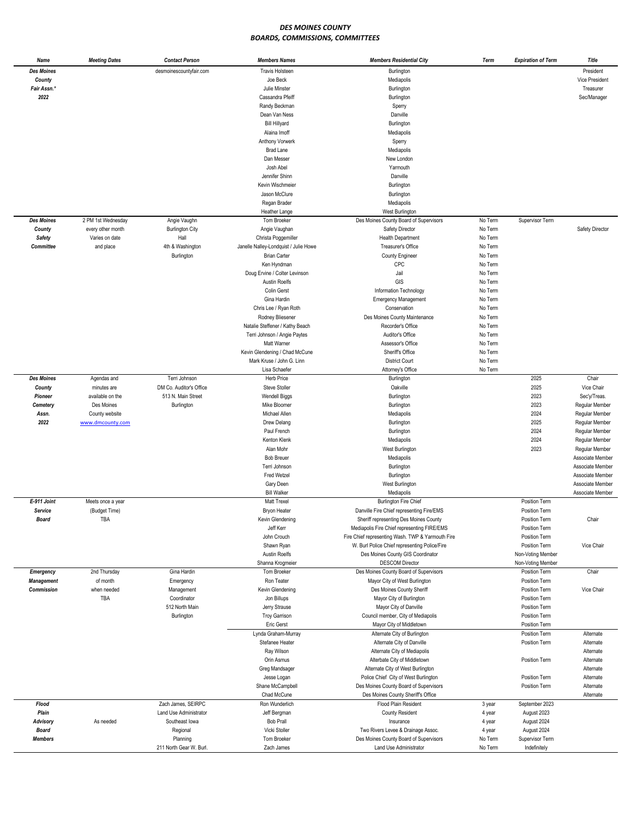## *DES MOINES COUNTY BOARDS, COMMISSIONS, COMMITTEES*

| Name              | <b>Meeting Dates</b> | <b>Contact Person</b>   | <b>Members Names</b>                  | <b>Members Residential City</b>                   | Term    | <b>Expiration of Term</b> | Title            |
|-------------------|----------------------|-------------------------|---------------------------------------|---------------------------------------------------|---------|---------------------------|------------------|
| <b>Des Moines</b> |                      | desmoinescountyfair.com | <b>Travis Holsteen</b>                | Burlington                                        |         |                           | President        |
| County            |                      |                         | Joe Beck                              | Mediapolis                                        |         |                           | Vice President   |
| Fair Assn.*       |                      |                         | Julie Minster                         | Burlington                                        |         |                           | Treasurer        |
| 2022              |                      |                         | Cassandra Pfeiff                      | Burlington                                        |         |                           | Sec/Manager      |
|                   |                      |                         | Randy Beckman                         | Sperry                                            |         |                           |                  |
|                   |                      |                         | Dean Van Ness                         | Danville                                          |         |                           |                  |
|                   |                      |                         | <b>Bill Hillyard</b>                  | Burlington                                        |         |                           |                  |
|                   |                      |                         | Alaina Imoff                          | Mediapolis                                        |         |                           |                  |
|                   |                      |                         |                                       |                                                   |         |                           |                  |
|                   |                      |                         | Anthony Vorwerk                       | Sperry                                            |         |                           |                  |
|                   |                      |                         | <b>Brad Lane</b>                      | Mediapolis                                        |         |                           |                  |
|                   |                      |                         | Dan Messer                            | New London                                        |         |                           |                  |
|                   |                      |                         | Josh Abel                             | Yarmouth                                          |         |                           |                  |
|                   |                      |                         | Jennifer Shinn                        | Danville                                          |         |                           |                  |
|                   |                      |                         | Kevin Wischmeier                      | Burlington                                        |         |                           |                  |
|                   |                      |                         | Jason McClure                         | Burlington                                        |         |                           |                  |
|                   |                      |                         | Regan Brader                          | Mediapolis                                        |         |                           |                  |
|                   |                      |                         | Heather Lange                         | West Burlington                                   |         |                           |                  |
| <b>Des Moines</b> | 2 PM 1st Wednesday   | Angie Vaughn            | Tom Broeker                           | Des Moines County Board of Supervisors            | No Term | Supervisor Term           |                  |
| County            | every other month    | <b>Burlington City</b>  | Angie Vaughan                         | Safety Director                                   | No Term |                           | Safety Director  |
| Safety            | Varies on date       | Hall                    | Christa Poggemiller                   | <b>Health Department</b>                          | No Term |                           |                  |
| Committee         | and place            | 4th & Washington        | Janelle Nalley-Londquist / Julie Howe | Treasurer's Office                                | No Term |                           |                  |
|                   |                      | Burlington              | <b>Brian Carter</b>                   | <b>County Engineer</b>                            | No Term |                           |                  |
|                   |                      |                         | Ken Hyndman                           | CPC                                               | No Term |                           |                  |
|                   |                      |                         | Doug Ervine / Colter Levinson         | Jail                                              | No Term |                           |                  |
|                   |                      |                         |                                       |                                                   |         |                           |                  |
|                   |                      |                         | <b>Austin Roelfs</b>                  | GIS                                               | No Term |                           |                  |
|                   |                      |                         | Colin Gerst                           | Information Technology                            | No Term |                           |                  |
|                   |                      |                         | Gina Hardin                           | <b>Emergency Management</b>                       | No Term |                           |                  |
|                   |                      |                         | Chris Lee / Ryan Roth                 | Conservation                                      | No Term |                           |                  |
|                   |                      |                         | Rodney Bliesener                      | Des Moines County Maintenance                     | No Term |                           |                  |
|                   |                      |                         | Natalie Steffener / Kathy Beach       | Recorder's Office                                 | No Term |                           |                  |
|                   |                      |                         | Terri Johnson / Angie Paytes          | Auditor's Office                                  | No Term |                           |                  |
|                   |                      |                         | Matt Warner                           | Assessor's Office                                 | No Term |                           |                  |
|                   |                      |                         | Kevin Glendening / Chad McCune        | Sheriff's Office                                  | No Term |                           |                  |
|                   |                      |                         | Mark Kruse / John G. Linn             | <b>District Court</b>                             | No Term |                           |                  |
|                   |                      |                         | Lisa Schaefer                         | Attorney's Office                                 | No Term |                           |                  |
| <b>Des Moines</b> | Agendas and          | Terri Johnson           | Herb Price                            | Burlington                                        |         | 2025                      | Chair            |
| County            | minutes are          | DM Co. Auditor's Office | Steve Stoller                         | Oakville                                          |         | 2025                      | Vice Chair       |
| Pioneer           | available on the     | 513 N. Main Street      | <b>Wendell Biggs</b>                  |                                                   |         | 2023                      | Sec'y/Treas.     |
|                   |                      |                         |                                       | Burlington                                        |         | 2023                      |                  |
| Cemetery          | Des Moines           | Burlington              | Mike Bloomer                          | Burlington                                        |         |                           | Regular Member   |
| Assn.             | County website       |                         | Michael Allen                         | Mediapolis                                        |         | 2024                      | Regular Member   |
| 2022              | www.dmcounty.com     |                         | Drew Delang                           | Burlington                                        |         | 2025                      | Regular Member   |
|                   |                      |                         | Paul French                           | Burlington                                        |         | 2024                      | Regular Member   |
|                   |                      |                         | Kenton Klenk                          | Mediapolis                                        |         | 2024                      | Regular Member   |
|                   |                      |                         | Alan Mohr                             | West Burlington                                   |         | 2023                      | Regular Member   |
|                   |                      |                         | <b>Bob Breuer</b>                     | Mediapolis                                        |         |                           | Associate Member |
|                   |                      |                         | Terri Johnson                         | Burlington                                        |         |                           | Associate Member |
|                   |                      |                         | Fred Wetzel                           | Burlington                                        |         |                           | Associate Member |
|                   |                      |                         | Gary Deen                             | West Burlington                                   |         |                           | Associate Member |
|                   |                      |                         | <b>Bill Walker</b>                    | Mediapolis                                        |         |                           | Associate Member |
| E-911 Joint       | Meets once a year    |                         | Matt Trexel                           | <b>Burlington Fire Chief</b>                      |         | Position Term             |                  |
| Service           | (Budget Time)        |                         | Bryon Heater                          | Danville Fire Chief representing Fire/EMS         |         | Position Term             |                  |
| <b>Board</b>      | TBA                  |                         | Kevin Glendening                      | Sheriff representing Des Moines County            |         | Position Term             | Chair            |
|                   |                      |                         | Jeff Kerr                             | Mediapolis Fire Chief representing FIRE/EMS       |         | Position Term             |                  |
|                   |                      |                         | John Crouch                           | Fire Chief representing Wash. TWP & Yarmouth Fire |         | Position Term             |                  |
|                   |                      |                         |                                       |                                                   |         |                           |                  |
|                   |                      |                         | Shawn Ryan                            | W. Burl Police Chief representing Police/Fire     |         | Position Term             | Vice Chair       |
|                   |                      |                         | <b>Austin Roelfs</b>                  | Des Moines County GIS Coordinator                 |         | Non-Voting Member         |                  |
|                   |                      |                         | Shanna Krogmeier                      | <b>DESCOM Director</b>                            |         | Non-Voting Member         |                  |
| Emergency         | 2nd Thursday         | Gina Hardin             | Tom Broeker                           | Des Moines County Board of Supervisors            |         | Position Term             | Chair            |
| <b>Management</b> | of month             | Emergency               | Ron Teater                            | Mayor City of West Burlington                     |         | <b>Position Term</b>      |                  |
| Commission        | when needed          | Management              | Kevin Glendening                      | Des Moines County Sheriff                         |         | Position Term             | Vice Chair       |
|                   | TBA                  | Coordinator             | Jon Billups                           | Mayor City of Burlington                          |         | Position Term             |                  |
|                   |                      | 512 North Main          | Jerry Strause                         | Mayor City of Danville                            |         | Position Term             |                  |
|                   |                      | Burlington              | <b>Troy Garrison</b>                  | Council member, City of Mediapolis                |         | Position Term             |                  |
|                   |                      |                         | Eric Gerst                            | Mayor City of Middletown                          |         | Position Term             |                  |
|                   |                      |                         | Lynda Graham-Murray                   | Alternate City of Burlington                      |         | Position Term             | Alternate        |
|                   |                      |                         | Stefanee Heater                       | Alternate City of Danville                        |         | Position Term             | Alternate        |
|                   |                      |                         | Ray Wilson                            | Alternate City of Mediapolis                      |         |                           | Alternate        |
|                   |                      |                         | Orin Asmus                            |                                                   |         | Position Term             | Alternate        |
|                   |                      |                         |                                       | Alterbate City of Middletown                      |         |                           |                  |
|                   |                      |                         | Greg Mandsager                        | Alternate City of West Burlington                 |         |                           | Alternate        |
|                   |                      |                         | Jesse Logan                           | Police Chief City of West Burlington              |         | Position Term             | Alternate        |
|                   |                      |                         | Shane McCampbell                      | Des Moines County Board of Supervisors            |         | Position Term             | Alternate        |
|                   |                      |                         | Chad McCune                           | Des Moines County Sheriff's Office                |         |                           | Alternate        |
| Flood             |                      | Zach James, SEIRPC      | Ron Wunderlich                        | Flood Plain Resident                              | 3 year  | September 2023            |                  |
| Plain             |                      | Land Use Administrator  | Jeff Bergman                          | <b>County Resident</b>                            | 4 year  | August 2023               |                  |
| <b>Advisory</b>   | As needed            | Southeast lowa          | <b>Bob Prall</b>                      | Insurance                                         | 4 year  | August 2024               |                  |
| Board             |                      | Regional                | Vicki Stoller                         | Two Rivers Levee & Drainage Assoc.                | 4 year  | August 2024               |                  |
| <b>Members</b>    |                      | Planning                | Tom Broeker                           | Des Moines County Board of Supervisors            | No Term | Supervisor Term           |                  |
|                   |                      | 211 North Gear W. Burl. | Zach James                            | Land Use Administrator                            | No Term | Indefinitely              |                  |
|                   |                      |                         |                                       |                                                   |         |                           |                  |